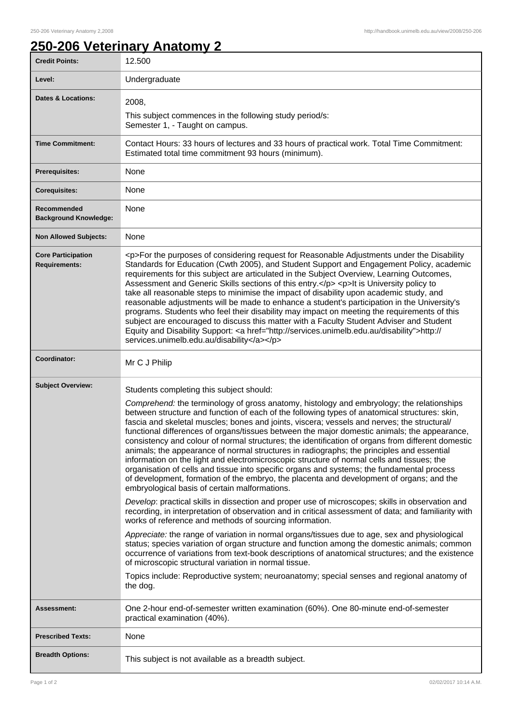## **250-206 Veterinary Anatomy 2**

| <b>Credit Points:</b>                             | 12.500                                                                                                                                                                                                                                                                                                                                                                                                                                                                                                                                                                                                                                                                                                                                                                                                                                                                                                                               |
|---------------------------------------------------|--------------------------------------------------------------------------------------------------------------------------------------------------------------------------------------------------------------------------------------------------------------------------------------------------------------------------------------------------------------------------------------------------------------------------------------------------------------------------------------------------------------------------------------------------------------------------------------------------------------------------------------------------------------------------------------------------------------------------------------------------------------------------------------------------------------------------------------------------------------------------------------------------------------------------------------|
| Level:                                            | Undergraduate                                                                                                                                                                                                                                                                                                                                                                                                                                                                                                                                                                                                                                                                                                                                                                                                                                                                                                                        |
| <b>Dates &amp; Locations:</b>                     | 2008,                                                                                                                                                                                                                                                                                                                                                                                                                                                                                                                                                                                                                                                                                                                                                                                                                                                                                                                                |
|                                                   | This subject commences in the following study period/s:<br>Semester 1, - Taught on campus.                                                                                                                                                                                                                                                                                                                                                                                                                                                                                                                                                                                                                                                                                                                                                                                                                                           |
| <b>Time Commitment:</b>                           | Contact Hours: 33 hours of lectures and 33 hours of practical work. Total Time Commitment:<br>Estimated total time commitment 93 hours (minimum).                                                                                                                                                                                                                                                                                                                                                                                                                                                                                                                                                                                                                                                                                                                                                                                    |
| <b>Prerequisites:</b>                             | None                                                                                                                                                                                                                                                                                                                                                                                                                                                                                                                                                                                                                                                                                                                                                                                                                                                                                                                                 |
| <b>Corequisites:</b>                              | None                                                                                                                                                                                                                                                                                                                                                                                                                                                                                                                                                                                                                                                                                                                                                                                                                                                                                                                                 |
| Recommended<br><b>Background Knowledge:</b>       | None                                                                                                                                                                                                                                                                                                                                                                                                                                                                                                                                                                                                                                                                                                                                                                                                                                                                                                                                 |
| <b>Non Allowed Subjects:</b>                      | None                                                                                                                                                                                                                                                                                                                                                                                                                                                                                                                                                                                                                                                                                                                                                                                                                                                                                                                                 |
| <b>Core Participation</b><br><b>Requirements:</b> | <p>For the purposes of considering request for Reasonable Adjustments under the Disability<br/>Standards for Education (Cwth 2005), and Student Support and Engagement Policy, academic<br/>requirements for this subject are articulated in the Subject Overview, Learning Outcomes,<br/>Assessment and Generic Skills sections of this entry.</p> <p>lt is University policy to<br/>take all reasonable steps to minimise the impact of disability upon academic study, and<br/>reasonable adjustments will be made to enhance a student's participation in the University's<br/>programs. Students who feel their disability may impact on meeting the requirements of this<br/>subject are encouraged to discuss this matter with a Faculty Student Adviser and Student<br/>Equity and Disability Support: &lt; a href="http://services.unimelb.edu.au/disability"&gt;http://<br/>services.unimelb.edu.au/disability</p>         |
| Coordinator:                                      | Mr C J Philip                                                                                                                                                                                                                                                                                                                                                                                                                                                                                                                                                                                                                                                                                                                                                                                                                                                                                                                        |
| <b>Subject Overview:</b>                          | Students completing this subject should:                                                                                                                                                                                                                                                                                                                                                                                                                                                                                                                                                                                                                                                                                                                                                                                                                                                                                             |
|                                                   | Comprehend: the terminology of gross anatomy, histology and embryology; the relationships<br>between structure and function of each of the following types of anatomical structures: skin,<br>fascia and skeletal muscles; bones and joints, viscera; vessels and nerves; the structural/<br>functional differences of organs/tissues between the major domestic animals; the appearance,<br>consistency and colour of normal structures; the identification of organs from different domestic<br>animals; the appearance of normal structures in radiographs; the principles and essential<br>information on the light and electromicroscopic structure of normal cells and tissues; the<br>organisation of cells and tissue into specific organs and systems; the fundamental process<br>of development, formation of the embryo, the placenta and development of organs; and the<br>embryological basis of certain malformations. |
|                                                   | Develop: practical skills in dissection and proper use of microscopes; skills in observation and<br>recording, in interpretation of observation and in critical assessment of data; and familiarity with<br>works of reference and methods of sourcing information.                                                                                                                                                                                                                                                                                                                                                                                                                                                                                                                                                                                                                                                                  |
|                                                   | Appreciate: the range of variation in normal organs/tissues due to age, sex and physiological<br>status; species variation of organ structure and function among the domestic animals; common<br>occurrence of variations from text-book descriptions of anatomical structures; and the existence<br>of microscopic structural variation in normal tissue.<br>Topics include: Reproductive system; neuroanatomy; special senses and regional anatomy of                                                                                                                                                                                                                                                                                                                                                                                                                                                                              |
|                                                   | the dog.                                                                                                                                                                                                                                                                                                                                                                                                                                                                                                                                                                                                                                                                                                                                                                                                                                                                                                                             |
| <b>Assessment:</b>                                | One 2-hour end-of-semester written examination (60%). One 80-minute end-of-semester<br>practical examination (40%).                                                                                                                                                                                                                                                                                                                                                                                                                                                                                                                                                                                                                                                                                                                                                                                                                  |
| <b>Prescribed Texts:</b>                          | None                                                                                                                                                                                                                                                                                                                                                                                                                                                                                                                                                                                                                                                                                                                                                                                                                                                                                                                                 |
| <b>Breadth Options:</b>                           | This subject is not available as a breadth subject.                                                                                                                                                                                                                                                                                                                                                                                                                                                                                                                                                                                                                                                                                                                                                                                                                                                                                  |